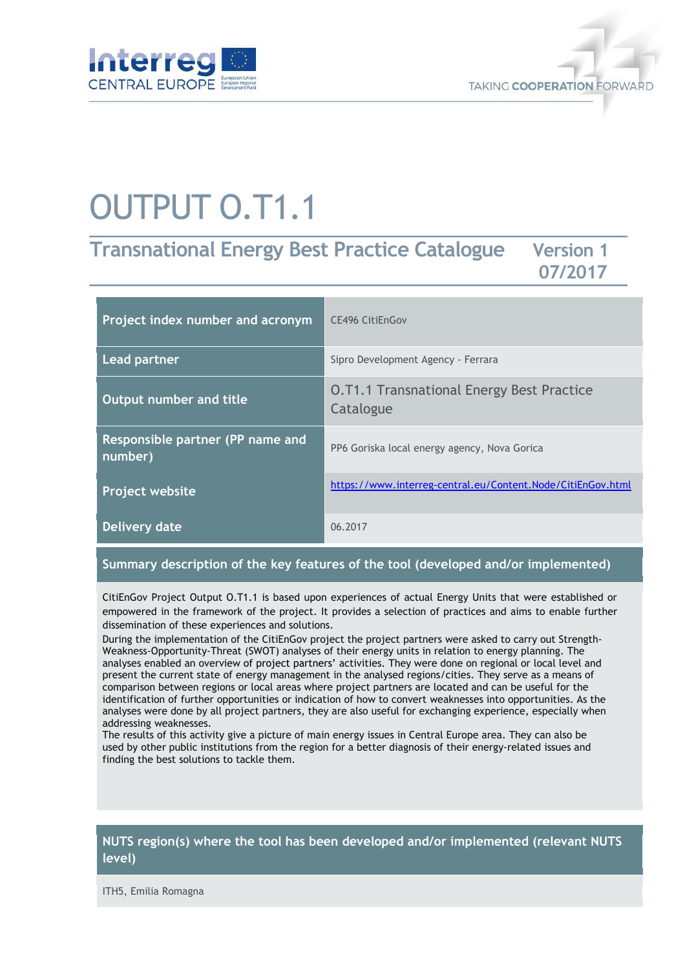



# OUTPUT O.T1.1

## **Transnational Energy Best Practice Catalogue Version 1 07/2017**

| Project index number and acronym            | <b>CE496 CitiEnGov</b>                                        |
|---------------------------------------------|---------------------------------------------------------------|
| <b>Lead partner</b>                         | Sipro Development Agency - Ferrara                            |
| Output number and title                     | <b>O.T1.1 Transnational Energy Best Practice</b><br>Catalogue |
| Responsible partner (PP name and<br>number) | PP6 Goriska local energy agency, Nova Gorica                  |
| <b>Project website</b>                      | https://www.interreg-central.eu/Content.Node/CitiEnGov.html   |
| Delivery date                               | 06.2017                                                       |

#### **Summary description of the key features of the tool (developed and/or implemented)**

CitiEnGov Project Output O.T1.1 is based upon experiences of actual Energy Units that were established or empowered in the framework of the project. It provides a selection of practices and aims to enable further dissemination of these experiences and solutions.

During the implementation of the CitiEnGov project the project partners were asked to carry out Strength-Weakness-Opportunity-Threat (SWOT) analyses of their energy units in relation to energy planning. The analyses enabled an overview of project partners' activities. They were done on regional or local level and present the current state of energy management in the analysed regions/cities. They serve as a means of comparison between regions or local areas where project partners are located and can be useful for the identification of further opportunities or indication of how to convert weaknesses into opportunities. As the analyses were done by all project partners, they are also useful for exchanging experience, especially when addressing weaknesses.

The results of this activity give a picture of main energy issues in Central Europe area. They can also be used by other public institutions from the region for a better diagnosis of their energy-related issues and finding the best solutions to tackle them.

#### **NUTS region(s) where the tool has been developed and/or implemented (relevant NUTS level)**

ITH5, Emilia Romagna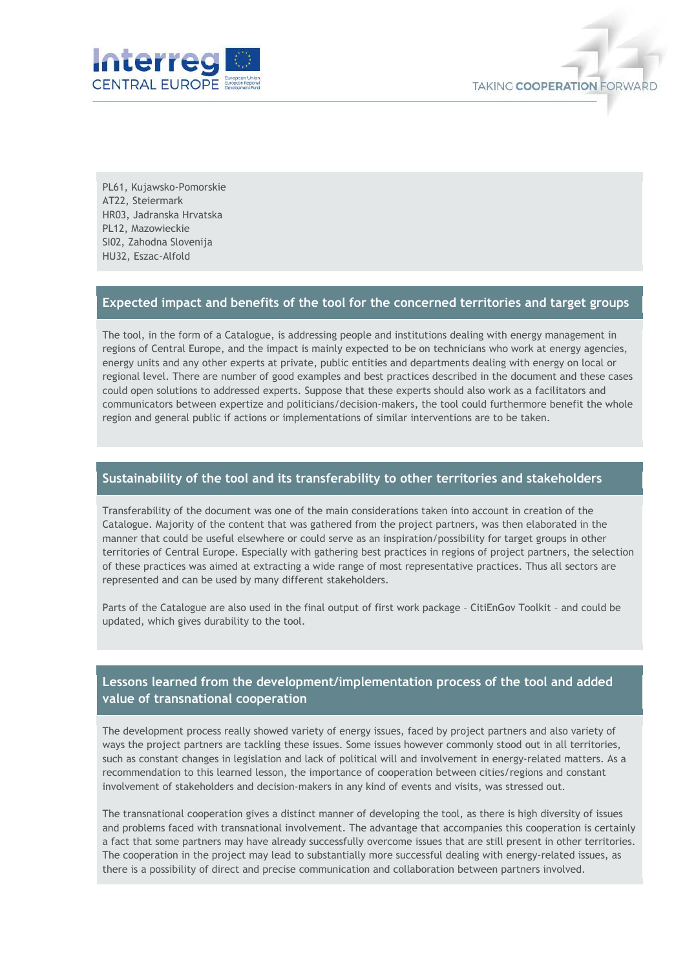

PL61, Kujawsko-Pomorskie AT22, Steiermark HR03, Jadranska Hrvatska PL12, Mazowieckie SI02, Zahodna Slovenija HU32, Eszac-Alfold

#### **Expected impact and benefits of the tool for the concerned territories and target groups**

The tool, in the form of a Catalogue, is addressing people and institutions dealing with energy management in regions of Central Europe, and the impact is mainly expected to be on technicians who work at energy agencies, energy units and any other experts at private, public entities and departments dealing with energy on local or regional level. There are number of good examples and best practices described in the document and these cases could open solutions to addressed experts. Suppose that these experts should also work as a facilitators and communicators between expertize and politicians/decision-makers, the tool could furthermore benefit the whole region and general public if actions or implementations of similar interventions are to be taken.

#### **Sustainability of the tool and its transferability to other territories and stakeholders**

Transferability of the document was one of the main considerations taken into account in creation of the Catalogue. Majority of the content that was gathered from the project partners, was then elaborated in the manner that could be useful elsewhere or could serve as an inspiration/possibility for target groups in other territories of Central Europe. Especially with gathering best practices in regions of project partners, the selection of these practices was aimed at extracting a wide range of most representative practices. Thus all sectors are represented and can be used by many different stakeholders.

Parts of the Catalogue are also used in the final output of first work package – CitiEnGov Toolkit – and could be updated, which gives durability to the tool.

### **Lessons learned from the development/implementation process of the tool and added value of transnational cooperation**

The development process really showed variety of energy issues, faced by project partners and also variety of ways the project partners are tackling these issues. Some issues however commonly stood out in all territories, such as constant changes in legislation and lack of political will and involvement in energy-related matters. As a recommendation to this learned lesson, the importance of cooperation between cities/regions and constant involvement of stakeholders and decision-makers in any kind of events and visits, was stressed out.

The transnational cooperation gives a distinct manner of developing the tool, as there is high diversity of issues and problems faced with transnational involvement. The advantage that accompanies this cooperation is certainly a fact that some partners may have already successfully overcome issues that are still present in other territories. The cooperation in the project may lead to substantially more successful dealing with energy-related issues, as there is a possibility of direct and precise communication and collaboration between partners involved.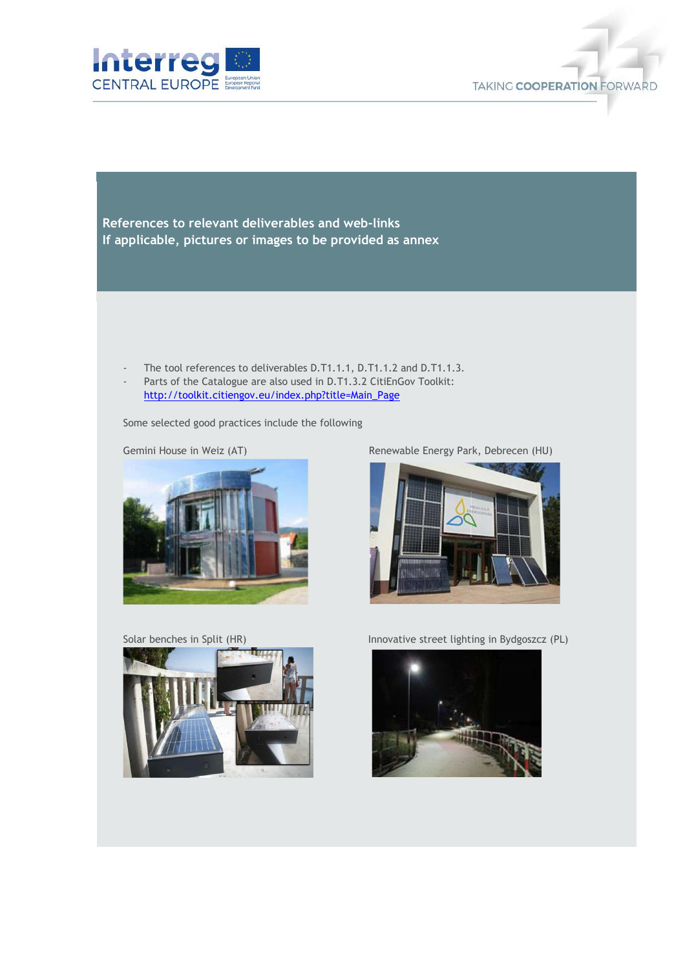



**References to relevant deliverables and web-links If applicable, pictures or images to be provided as annex** 

- The tool references to deliverables D.T1.1.1, D.T1.1.2 and D.T1.1.3.
- Parts of the Catalogue are also used in D.T1.3.2 CitiEnGov Toolkit: http://toolkit.citiengov.eu/index.php?title=Main\_Page

Some selected good practices include the following



Solar benches in Split (HR) Innovative street lighting in Bydgoszcz (PL)